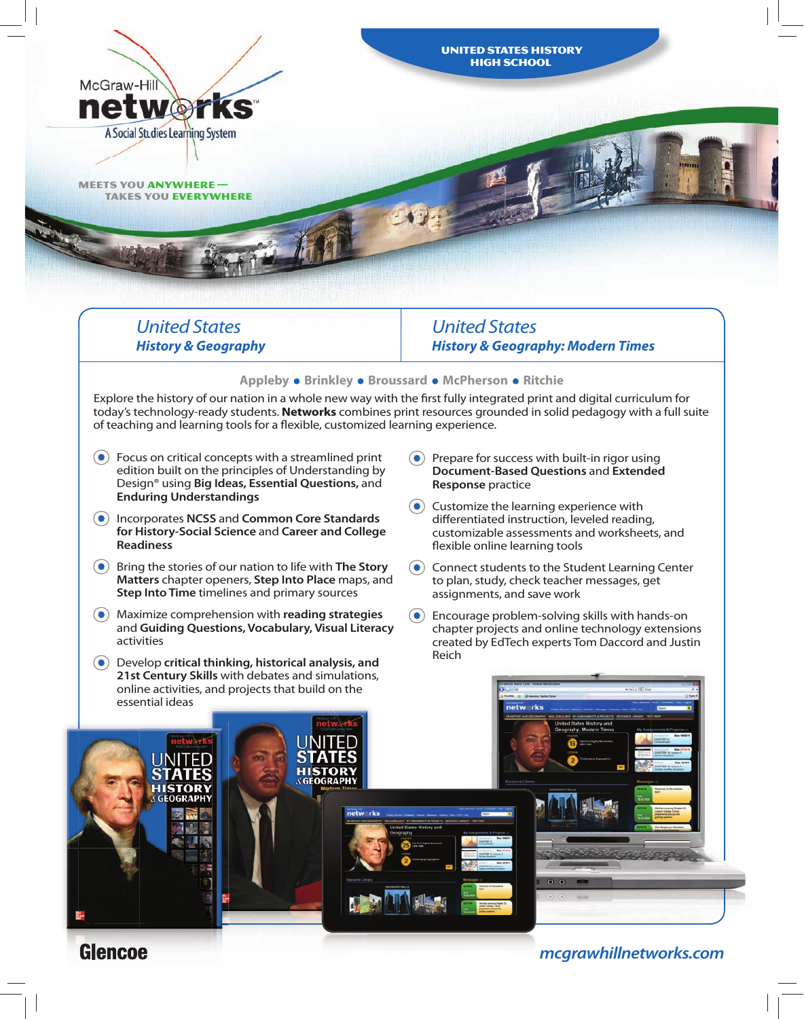

#### **Appleby • Brinkley • Broussard • McPherson • Ritchie**

Explore the history of our nation in a whole new way with the first fully integrated print and digital curriculum for today's technology-ready students. **Networks** combines print resources grounded in solid pedagogy with a full suite of teaching and learning tools for a flexible, customized learning experience.

- $\left( \bullet \right)$  Focus on critical concepts with a streamlined print edition built on the principles of Understanding by Design® using **Big Ideas, Essential Questions,** and **Enduring Understandings**
- Incorporates **NCSS** and **Common Core Standards for History-Social Science** and **Career and College Readiness**
- Bring the stories of our nation to life with **The Story Matters** chapter openers, **Step Into Place** maps, and **Step Into Time** timelines and primary sources
- Maximize comprehension with **reading strategies** and **Guiding Questions, Vocabulary, Visual Literacy** activities
- Develop **critical thinking, historical analysis, and 21st Century Skills** with debates and simulations, online activities, and projects that build on the essential ideas
- $\left( \bullet \right)$  Prepare for success with built-in rigor using **Document-Based Questions** and **Extended Response** practice
- $\left( \bullet \right)$  Customize the learning experience with differentiated instruction, leveled reading, customizable assessments and worksheets, and flexible online learning tools
- $\odot$  Connect students to the Student Learning Center to plan, study, check teacher messages, get assignments, and save work
- $\left( \bullet \right)$  Encourage problem-solving skills with hands-on chapter projects and online technology extensions created by EdTech experts Tom Daccord and Justin Reich



# **Glencoe**

*mcgrawhillnetworks.com*